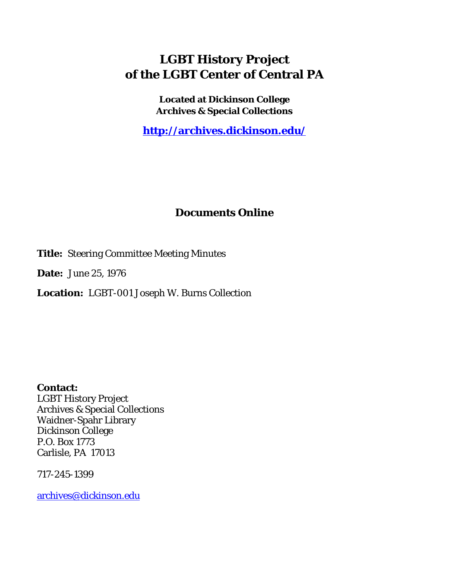# **LGBT History Project of the LGBT Center of Central PA**

**Located at Dickinson College Archives & Special Collections**

**<http://archives.dickinson.edu/>**

# **Documents Online**

**Title:** Steering Committee Meeting Minutes

**Date:** June 25, 1976

**Location:** LGBT-001 Joseph W. Burns Collection

**Contact:**  LGBT History Project Archives & Special Collections Waidner-Spahr Library Dickinson College P.O. Box 1773 Carlisle, PA 17013

717-245-1399

[archives@dickinson.edu](mailto:archives@dickinson.edu)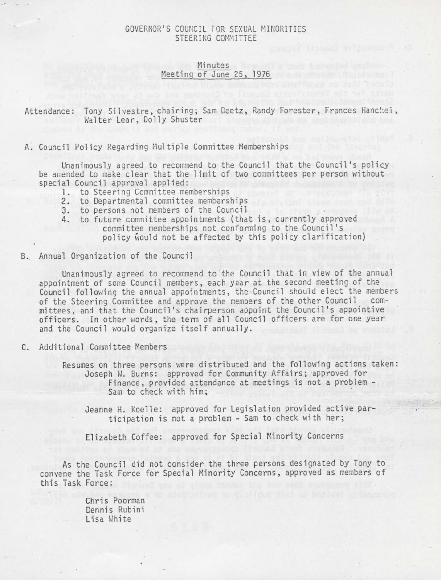# GOVERNOR'S COUNCIL FOR SEXUAL MINORITIES STEERING COMMITTEE

# Minutes Meeting of June 25, 1976

Attendance: Tony Silvestre, chairing; Sam Deetz, Randy Forester, Frances Hanckel, Walter Lear, Dolly Shuster

A. Council Policy Regarding Multiple Committee Memberships

Unanimously agreed to recommend to the Council that the Council's policy be amended to make clear that the limit of two committees per person without special Council approval applied:

- 1. to Steering Committee memberships
- 2. to Departmental committee memberships
- 3. to persons not members of the Council
- 4. to future committee appointments (that is, currently approved committee memberships not conforming to the Council's policy would not be affected by this policy clarification)

### B. Annual Organization of the Council

Unanimously agreed to recommend to the Council that in view of the annual appointment of some Council members, each year at the second meeting of the Council following the annual appointments, the Council should elect the members of the Steering Committee and approve the members of the other Council committees, and that the Council's chairperson appoint the Council's appointive officers. In other words, the term of all Council officers are for one year and the Council would organize itself annually.

C. Additional Committee Members

Resumes on three persons were distributed and the following actions taken: Joseph W. Burns: approved for Community Affairs; approved for Finance, provided attendance at meetings is not <sup>a</sup> problem - Sam to check with him;

Jeanne H. Koelle: approved for Legislation provided active participation is not <sup>a</sup> problem - Sam to check with her;

Elizabeth Coffee: approved for Special Minority Concerns

As the Council did not consider the three persons designated by Tony to convene the Task Force for Special Minority Concerns, approved as members of this Task Force:

> Chris Poorman Dennis Rubini Lisa White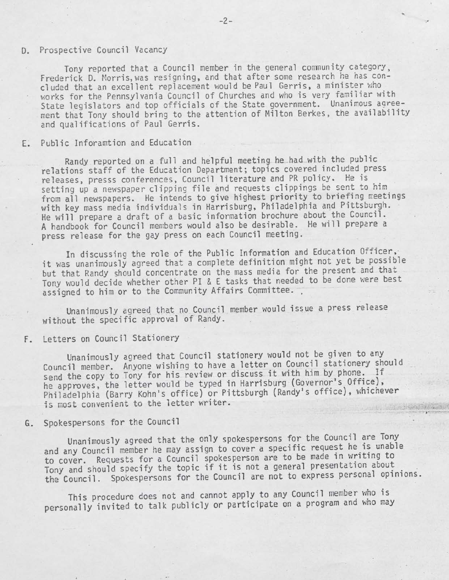#### D. Prospective Council Vacancy

Tony reported that <sup>a</sup> Council member in the general community category, Frederick D. Morris,was resigning, and that after some research he has concluded that an excellent replacement would be Paul Gerris, <sup>a</sup> minister who works for the Pennsylvania Council of Churches and who is very familiar with State legislators and top officials of the State government. Unanimous agreement that Tony should bring to the attention of Milton Berkes, the availability and qualifications of Paul Gerris.

## E. Public Inforamtion and Education

Randy reported on <sup>a</sup> full and helpful meeting he had with the public relations staff of the Education Department; topics covered included press releases, presss conferences, Council literature and PR policy. He is setting up <sup>a</sup> newspaper clipping file and requests clippings be sent to him. from all newspapers. He intends to give highest priority to briefing meetings with key mass media individuals in Harrisburg, Philadelphia and Pittsburgh. He will prepare <sup>a</sup> draft of <sup>a</sup> basic information brochure about the Council. <sup>A</sup> handbook for Council members would also be desirable. He will prepare <sup>a</sup> press release for the gay press on each Council meeting.

In discussing the role of the Public Information and Education Officer, it was unanimously agreed that <sup>a</sup> complete definition might not yet be possible but that Randy should concentrate on the mass media for the present and that Tony would decide whether other PI & <sup>E</sup> tasks that needed to be done were best assigned to him or to the Community Affairs Committee.

Unanimously agreed that no Council member would issue <sup>a</sup> press release without the specific approval of Randy.

# F. Letters on Council Stationery

Unanimously agreed that Council stationery would not be given to any Council member. Anyone wishing to have a letter on Council stationery should send the copy to Tony for his review or discuss it with him by phone. If he approves, the letter would be typed in Harrisburg (Governor's Office), Philadelphia (Barry Kohn's office) or Pittsburgh (Randy's office), whicnever is most convenient to the letter writer. The Strange Reserve in

# G. Spokespersons for the Council

Unanimously agreed that the only spokespersons for the Council are Tony and any Council member he may assign to cover <sup>a</sup> specific request he is unable to cover. Requests for <sup>a</sup> Council spokesperson are to be made in writing to Tony and should specify the topic if it is not <sup>a</sup> general presentation about . the Council. Spokespersons for the Council are not to express personal opinions.

This procedure does not and cannot apply to any Council member who is personally invited to talk publicly or participate on <sup>a</sup> program and who may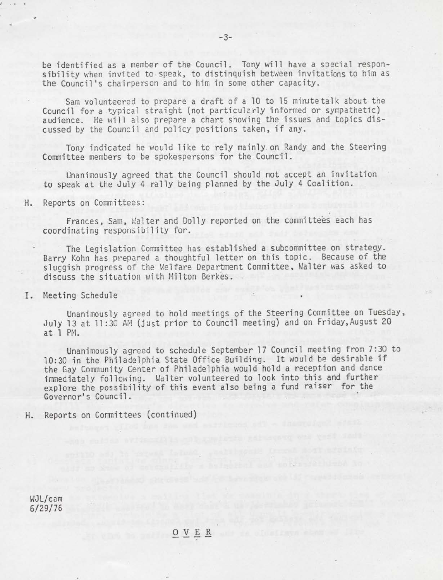be identified as <sup>a</sup> member of the Council. Tony will have <sup>a</sup> special responsibility when invited to speak, to distinguish between invitations to him as the Council's chairperson and to him in some other capacity.

Sam volunteered to prepare <sup>a</sup> draft of <sup>a</sup> <sup>10</sup> to <sup>15</sup> mirutetalk about the Council for <sup>a</sup> typical straight (not particularly informed or sympathetic) audience. He will also prepare <sup>a</sup> chart showing the issues and topics discussed by the Council and policy positions taken, if any.

Tony indicated he would like to rely mainly on Randy and the Steering Committee members to be spokespersons for the Council.

Unanimously agreed that the Council should not accept an invitation to speak at the July <sup>4</sup> rally being planned by the July <sup>4</sup> Coalition.

H. Reports on Committees:

Frances, Sam, Walter and Dolly reported on the committees each has coordinating responsibility for.

The Legislation Committee has established <sup>a</sup> subcommittee on strategy. Barry Kohn has prepared <sup>a</sup> thoughtful letter on this topic. Because of the sluggish progress of the Welfare Department Committee, Walter was asked to discuss the situation with Milton Berkes.

I. Meeting Schedule

Unanimously agreed to hold meetings of the Steering Committee on Tuesday, July 13 at 11:30 AM (just prior to Council meeting) and on Friday,August <sup>20</sup> at <sup>1</sup> PM.

Unanimously agreed to schedule September 17 Council meeting from 7:30 to 10:30 in the Philadelphia State Office Building. It would be desirable if the Gay Community Center of Philadelphia would hold <sup>a</sup> reception and dance immediately following. Walter volunteered to look into this and further explore the possibility of this event also being <sup>a</sup> fund raiser for the Governor's Council.

H. Reports on Comnittees (continued)

WJL/cam 6/29/76

OVER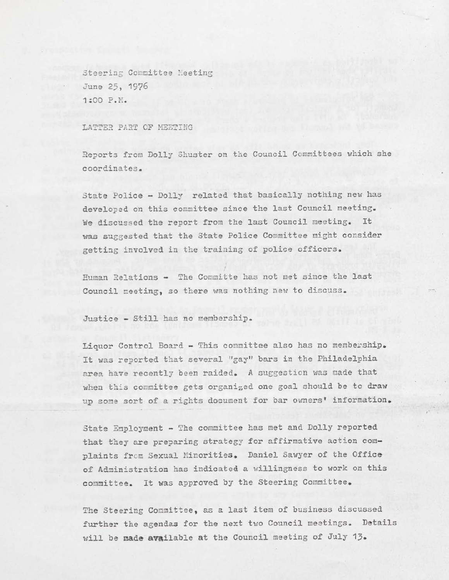Steering Committee Meeting June 25, 1976 1:00 P.M.

LATTES PAST OF MEETING

Reports from Dolly Shuster on the Council Committees which she coordinates.

State Police - Dolly related that basically nothing new has developed on this committee since the last Council meeting. We discussed the report from the last Council meeting. It was suggested that the State Police Committee might consider getting involved in the training of police officers.

Human Relations - The Committe has not met since the last Council meeting, so there was nothing new to discuss.

Justice - Still has no membership.

Liquor Control Board - This committee also has no membership. It was reported that several "gay" bars in the Philadelphia area have recently been raided, <sup>A</sup> suggestion was made that when this committee gets organized one goal should be to draw up some sort of a rights document for bar owners' information.

State Employment - The committee has met and Dolly reported that they are preparing strategy for affirmative action complaints from Sexual Minorities. Daniel Sawyer of the Office of Administration has indicated a willingness to work on this committee. It was approved by the Steering Committee.

The Steering Committee, as a last item of business discussed further the agendas for the next two Council meetings. Details will be made available at the Council meeting of July 13.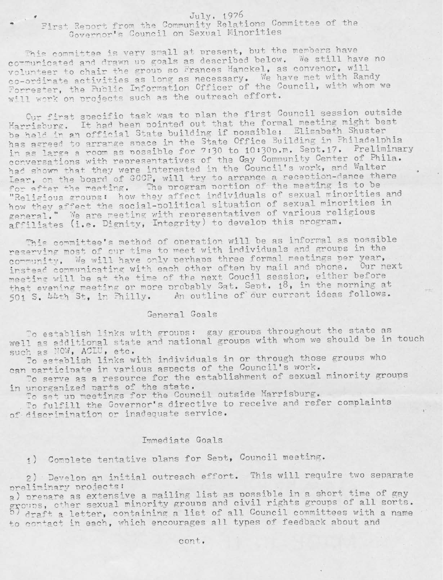July. 1976<br>First Report from the Community Relations Committee of the Governor's Council on Sexual Minorities

This committee is very small at present, but the members have ttee is very small at present, but the members have<br>and drawn up goals as described below. We still have no communicated and drawn up goals as described below. We solid have<br>volunteer to chair the group so Frances Hanckel, as convenor, will volunteer to chair the group so frances nancholy as confident with Randy<br>co-ordinate activities as long as necessary. We have met with Randy co-ordinate activities as fone as hecessary.<br>Porrester, the Public Information Officer of the Council, with whom we Forrester, the ruclic information officer of the

st specific task was to plan the first Council session outside Harrisburg. It had been pointed out that the formal meeting might best be held in an official State building if possible; Elisabeth Shuster an official State office Building in Philadelphia<br>to arrange space in the State Office Building in Philadelphia arrange space in the State Sillice Software for 17. Preliminary room as possible for vije to figures. Community Center of Phila. that they were interested in the the board of GCCP, will try to arrange a he board of GOOP, Will try to arrange a reception hance of er the meeting. The program bordion of the meeting<br>ous groups: how they affect individuals of sexual minorities and s groups: now they allect individuals of sexual minorities in rect the social-colluded situation of various religious Council's work, and Walter were interested in the Council's work, and Walter<br>f GOOP, will try to arrange a reception-dance there affiliates (i.e. Dignity, Integrity) to develop this program. G,

This committee's method of operation will be as informal as possible reserving most of cur time to meet with individuals and groups in the ty. We will have only perhaps three formal meetings per year, community. We will have only bernads three formal meetings bor your next meeting will be at the time of the next Coucil session, either before that evening meeting or more probably Sat. Sept. 18, in the morning at <sup>561</sup> S. U2ith St, in Philly. An outline of' our current ideas follows.

#### General Goals

To establish links with groups: gay groups throughout the state as well as additional state and national groups with whom we should be in touch such as NOW, ACLU, etc.

To establish links with individuals in or through those groups who can participate in various aspects of the Council's work.

To serve as a resource for the establishment of sexual minority groups in unorganized parts of the state.

To set up meetings for the Council outside Harrisburg.

To fulfill the Governor's directive to receive and refer complaints of discrimination or inadequate service.

#### Immediate Goals

1) Complete tentative plans for Sent, Council meeting.

2) Develop an initial outreach effort. This will require two separate preliminary projects:

a) prepare as extensive a mailing list as possible in a short time of gay a) prepare as extensive a mailing list as bossible in a short time of gay<br>groups, other sexual minority groups and civil rights groups of all sorts. groups, other sexual minority groups and civil rights groups of all softs.<br><sup>b)</sup> draft a letter, containing a list of all Council committees with a name to contact in each, which encourages all types of feedback about and

cont.